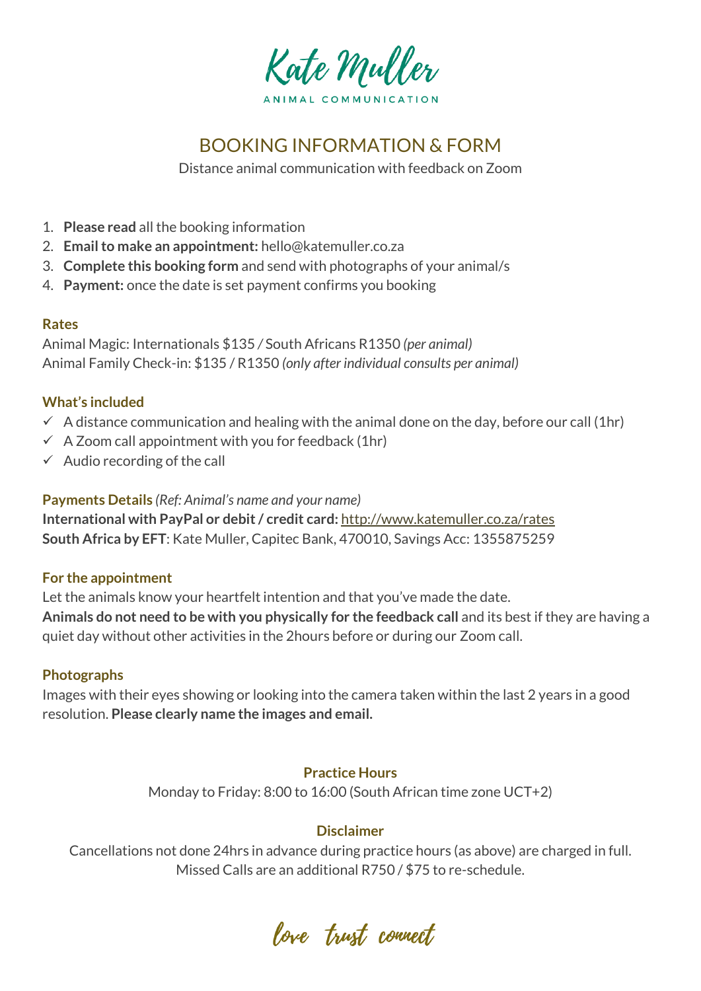

# BOOKING INFORMATION & FORM

Distance animal communication with feedback on Zoom

- 1. **Please read** all the booking information
- 2. **Email to make an appointment:** hello@katemuller.co.za
- 3. **Complete this booking form** and send with photographs of your animal/s
- 4. **Payment:** once the date is set payment confirms you booking

## **Rates**

Animal Magic: Internationals \$135 */* South Africans R1350 *(per animal)* Animal Family Check-in: \$135 / R1350 *(only after individual consults per animal)*

# **What's included**

- $\checkmark$  A distance communication and healing with the animal done on the day, before our call (1hr)
- $\checkmark$  A Zoom call appointment with you for feedback (1hr)
- $\checkmark$  Audio recording of the call

**Payments Details** *(Ref: Animal's name and your name)*

**International with PayPal or debit / credit card:** <http://www.katemuller.co.za/rates> **South Africa by EFT**: Kate Muller, Capitec Bank, 470010, Savings Acc: 1355875259

## **For the appointment**

Let the animals know your heartfelt intention and that you've made the date. **Animals do not need to be with you physically for the feedback call** and its best if they are having a quiet day without other activities in the 2hours before or during our Zoom call.

# **Photographs**

Images with their eyes showing or looking into the camera taken within the last 2 years in a good resolution. **Please clearly name the images and email.**

# **Practice Hours**

Monday to Friday: 8:00 to 16:00 (South African time zone UCT+2)

# **Disclaimer**

Cancellations not done 24hrs in advance during practice hours (as above) are charged in full. Missed Calls are an additional R750 / \$75 to re-schedule.

love trust connect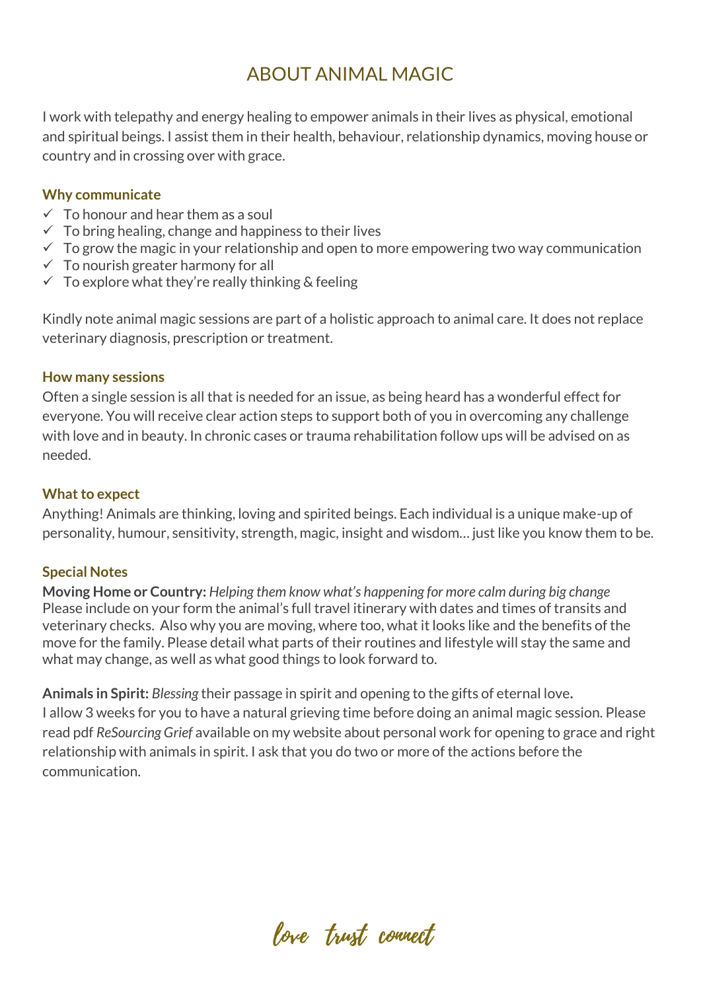# ABOUT ANIMAL MAGIC

I work with telepathy and energy healing to empower animals in their lives as physical, emotional and spiritual beings. I assist them in their health, behaviour, relationship dynamics, moving house or country and in crossing over with grace.

## **Why communicate**

- $\checkmark$  To honour and hear them as a soul
- $\checkmark$  To bring healing, change and happiness to their lives
- $\checkmark$  To grow the magic in your relationship and open to more empowering two way communication
- $\checkmark$  To nourish greater harmony for all
- $\checkmark$  To explore what they're really thinking & feeling

Kindly note animal magic sessions are part of a holistic approach to animal care. It does not replace veterinary diagnosis, prescription or treatment.

#### **How many sessions**

Often a single session is all that is needed for an issue, as being heard has a wonderful effect for everyone. You will receive clear action steps to support both of you in overcoming any challenge with love and in beauty. In chronic cases or trauma rehabilitation follow ups will be advised on as needed.

## **What to expect**

Anything! Animals are thinking, loving and spirited beings. Each individual is a unique make-up of personality, humour, sensitivity, strength, magic, insight and wisdom… just like you know them to be.

## **Special Notes**

**Moving Home or Country:** *Helping them know what's happening for more calm during big change* Please include on your form the animal's full travel itinerary with dates and times of transits and veterinary checks. Also why you are moving, where too, what it looks like and the benefits of the move for the family. Please detail what parts of their routines and lifestyle will stay the same and what may change, as well as what good things to look forward to.

**Animals in Spirit:** *Blessing* their passage in spirit and opening to the gifts of eternal love**.** I allow 3 weeks for you to have a natural grieving time before doing an animal magic session. Please read pdf *ReSourcing Grief* available on my website about personal work for opening to grace and right relationship with animals in spirit. I ask that you do two or more of the actions before the communication.

love trust connect